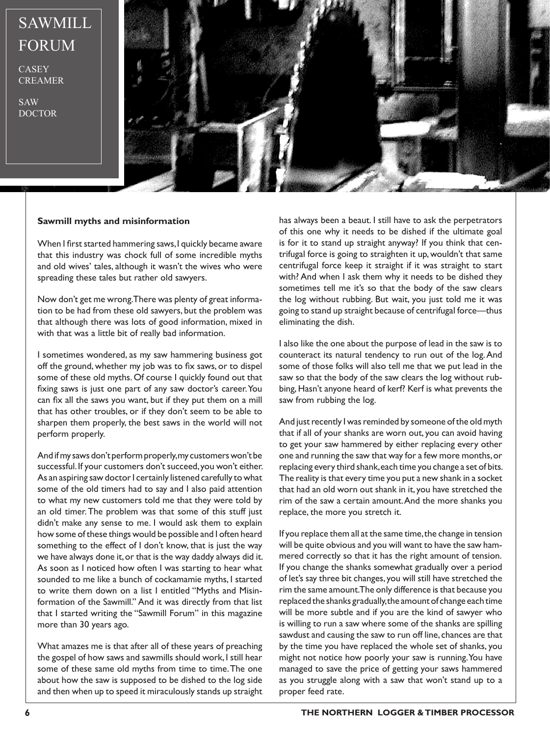## SAWMILL FORUM

CASEY CREAMER

SAW DOCTOR



## **Sawmill myths and misinformation**

When I first started hammering saws, I quickly became aware that this industry was chock full of some incredible myths and old wives' tales, although it wasn't the wives who were spreading these tales but rather old sawyers.

Now don't get me wrong. There was plenty of great information to be had from these old sawyers, but the problem was that although there was lots of good information, mixed in with that was a little bit of really bad information.

I sometimes wondered, as my saw hammering business got off the ground, whether my job was to fix saws, or to dispel some of these old myths. Of course I quickly found out that fixing saws is just one part of any saw doctor's career. You can fix all the saws you want, but if they put them on a mill that has other troubles, or if they don't seem to be able to sharpen them properly, the best saws in the world will not perform properly.

And if my saws don't perform properly, my customers won't be successful. If your customers don't succeed, you won't either. As an aspiring saw doctor I certainly listened carefully to what some of the old timers had to say and I also paid attention to what my new customers told me that they were told by an old timer. The problem was that some of this stuff just didn't make any sense to me. I would ask them to explain how some of these things would be possible and I often heard something to the effect of I don't know, that is just the way we have always done it, or that is the way daddy always did it. As soon as I noticed how often I was starting to hear what sounded to me like a bunch of cockamamie myths, I started to write them down on a list I entitled "Myths and Misinformation of the Sawmill." And it was directly from that list that I started writing the "Sawmill Forum" in this magazine more than 30 years ago.

What amazes me is that after all of these years of preaching the gospel of how saws and sawmills should work, I still hear some of these same old myths from time to time. The one about how the saw is supposed to be dished to the log side and then when up to speed it miraculously stands up straight

has always been a beaut. I still have to ask the perpetrators of this one why it needs to be dished if the ultimate goal is for it to stand up straight anyway? If you think that centrifugal force is going to straighten it up, wouldn't that same centrifugal force keep it straight if it was straight to start with? And when I ask them why it needs to be dished they sometimes tell me it's so that the body of the saw clears the log without rubbing. But wait, you just told me it was going to stand up straight because of centrifugal force—thus eliminating the dish.

I also like the one about the purpose of lead in the saw is to counteract its natural tendency to run out of the log. And some of those folks will also tell me that we put lead in the saw so that the body of the saw clears the log without rubbing, Hasn't anyone heard of kerf? Kerf is what prevents the saw from rubbing the log.

And just recently I was reminded by someone of the old myth that if all of your shanks are worn out, you can avoid having to get your saw hammered by either replacing every other one and running the saw that way for a few more months, or replacing every third shank, each time you change a set of bits. The reality is that every time you put a new shank in a socket that had an old worn out shank in it, you have stretched the rim of the saw a certain amount. And the more shanks you replace, the more you stretch it.

If you replace them all at the same time, the change in tension will be quite obvious and you will want to have the saw hammered correctly so that it has the right amount of tension. If you change the shanks somewhat gradually over a period of let's say three bit changes, you will still have stretched the rim the same amount. The only difference is that because you replaced the shanks gradually, the amount of change each time will be more subtle and if you are the kind of sawyer who is willing to run a saw where some of the shanks are spilling sawdust and causing the saw to run off line, chances are that by the time you have replaced the whole set of shanks, you might not notice how poorly your saw is running. You have managed to save the price of getting your saws hammered as you struggle along with a saw that won't stand up to a proper feed rate.